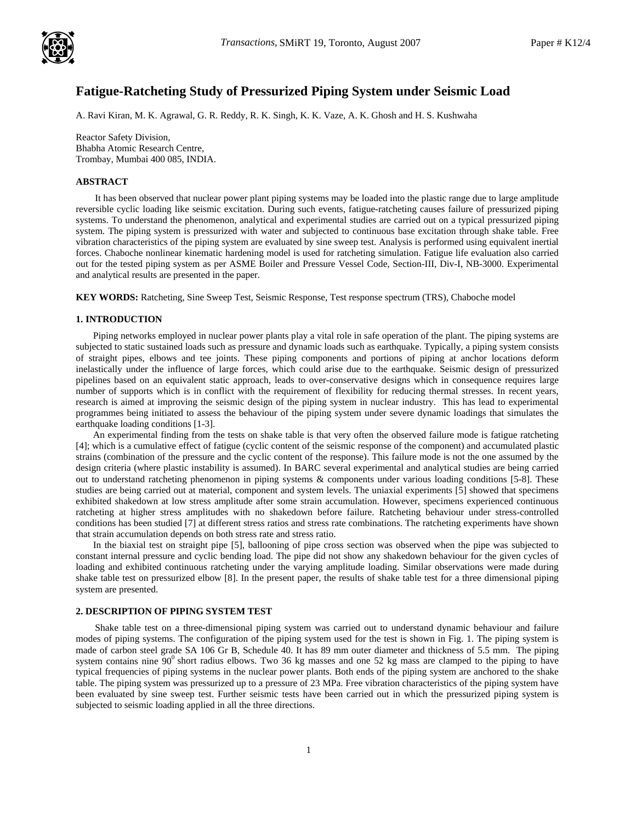

# **Fatigue-Ratcheting Study of Pressurized Piping System under Seismic Load**

A. Ravi Kiran, M. K. Agrawal, G. R. Reddy, R. K. Singh, K. K. Vaze, A. K. Ghosh and H. S. Kushwaha

Reactor Safety Division, Bhabha Atomic Research Centre, Trombay, Mumbai 400 085, INDIA.

#### **ABSTRACT**

It has been observed that nuclear power plant piping systems may be loaded into the plastic range due to large amplitude reversible cyclic loading like seismic excitation. During such events, fatigue-ratcheting causes failure of pressurized piping systems. To understand the phenomenon, analytical and experimental studies are carried out on a typical pressurized piping system. The piping system is pressurized with water and subjected to continuous base excitation through shake table. Free vibration characteristics of the piping system are evaluated by sine sweep test. Analysis is performed using equivalent inertial forces. Chaboche nonlinear kinematic hardening model is used for ratcheting simulation. Fatigue life evaluation also carried out for the tested piping system as per ASME Boiler and Pressure Vessel Code, Section-III, Div-I, NB-3000. Experimental and analytical results are presented in the paper.

**KEY WORDS:** Ratcheting, Sine Sweep Test, Seismic Response, Test response spectrum (TRS), Chaboche model

## **1. INTRODUCTION**

Piping networks employed in nuclear power plants play a vital role in safe operation of the plant. The piping systems are subjected to static sustained loads such as pressure and dynamic loads such as earthquake. Typically, a piping system consists of straight pipes, elbows and tee joints. These piping components and portions of piping at anchor locations deform inelastically under the influence of large forces, which could arise due to the earthquake. Seismic design of pressurized pipelines based on an equivalent static approach, leads to over-conservative designs which in consequence requires large number of supports which is in conflict with the requirement of flexibility for reducing thermal stresses. In recent years, research is aimed at improving the seismic design of the piping system in nuclear industry. This has lead to experimental programmes being initiated to assess the behaviour of the piping system under severe dynamic loadings that simulates the earthquake loading conditions [1-3].

An experimental finding from the tests on shake table is that very often the observed failure mode is fatigue ratcheting [4]; which is a cumulative effect of fatigue (cyclic content of the seismic response of the component) and accumulated plastic strains (combination of the pressure and the cyclic content of the response). This failure mode is not the one assumed by the design criteria (where plastic instability is assumed). In BARC several experimental and analytical studies are being carried out to understand ratcheting phenomenon in piping systems & components under various loading conditions [5-8]. These studies are being carried out at material, component and system levels. The uniaxial experiments [5] showed that specimens exhibited shakedown at low stress amplitude after some strain accumulation. However, specimens experienced continuous ratcheting at higher stress amplitudes with no shakedown before failure. Ratcheting behaviour under stress-controlled conditions has been studied [7] at different stress ratios and stress rate combinations. The ratcheting experiments have shown that strain accumulation depends on both stress rate and stress ratio.

In the biaxial test on straight pipe [5], ballooning of pipe cross section was observed when the pipe was subjected to constant internal pressure and cyclic bending load. The pipe did not show any shakedown behaviour for the given cycles of loading and exhibited continuous ratcheting under the varying amplitude loading. Similar observations were made during shake table test on pressurized elbow [8]. In the present paper, the results of shake table test for a three dimensional piping system are presented.

#### **2. DESCRIPTION OF PIPING SYSTEM TEST**

Shake table test on a three-dimensional piping system was carried out to understand dynamic behaviour and failure modes of piping systems. The configuration of the piping system used for the test is shown in Fig. 1. The piping system is made of carbon steel grade SA 106 Gr B, Schedule 40. It has 89 mm outer diameter and thickness of 5.5 mm. The piping system contains nine  $90^{\circ}$  short radius elbows. Two 36 kg masses and one 52 kg mass are clamped to the piping to have typical frequencies of piping systems in the nuclear power plants. Both ends of the piping system are anchored to the shake table. The piping system was pressurized up to a pressure of 23 MPa. Free vibration characteristics of the piping system have been evaluated by sine sweep test. Further seismic tests have been carried out in which the pressurized piping system is subjected to seismic loading applied in all the three directions.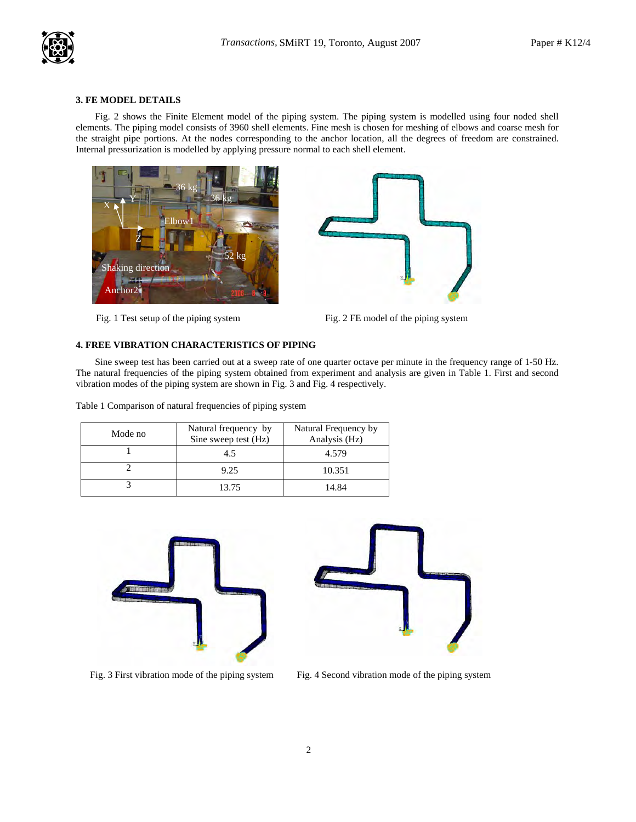

## **3. FE MODEL DETAILS**

Fig. 2 shows the Finite Element model of the piping system. The piping system is modelled using four noded shell elements. The piping model consists of 3960 shell elements. Fine mesh is chosen for meshing of elbows and coarse mesh for the straight pipe portions. At the nodes corresponding to the anchor location, all the degrees of freedom are constrained. Internal pressurization is modelled by applying pressure normal to each shell element.



Fig. 1 Test setup of the piping system



Fig. 2 FE model of the piping system

#### **4. FREE VIBRATION CHARACTERISTICS OF PIPING**

Sine sweep test has been carried out at a sweep rate of one quarter octave per minute in the frequency range of 1-50 Hz. The natural frequencies of the piping system obtained from experiment and analysis are given in Table 1. First and second vibration modes of the piping system are shown in Fig. 3 and Fig. 4 respectively.

Table 1 Comparison of natural frequencies of piping system

| Mode no | Natural frequency by<br>Sine sweep test (Hz) | Natural Frequency by<br>Analysis (Hz) |
|---------|----------------------------------------------|---------------------------------------|
|         | 4.5                                          | 4.579                                 |
|         | 9.25                                         | 10.351                                |
|         | 13.75                                        | 14.84                                 |





Fig. 3 First vibration mode of the piping system Fig. 4 Second vibration mode of the piping system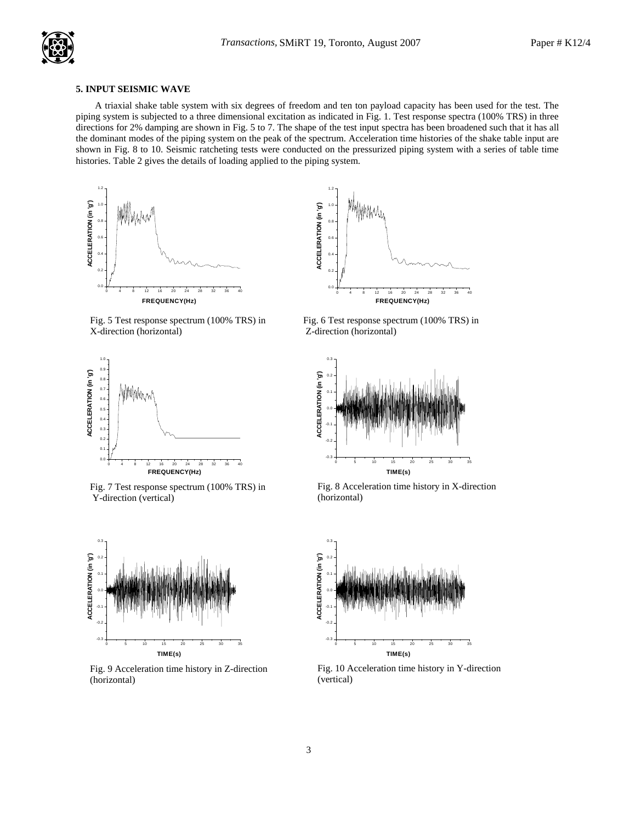## **5. INPUT SEISMIC WAVE**

A triaxial shake table system with six degrees of freedom and ten ton payload capacity has been used for the test. The piping system is subjected to a three dimensional excitation as indicated in Fig. 1. Test response spectra (100% TRS) in three directions for 2% damping are shown in Fig. 5 to 7. The shape of the test input spectra has been broadened such that it has all the dominant modes of the piping system on the peak of the spectrum. Acceleration time histories of the shake table input are shown in Fig. 8 to 10. Seismic ratcheting tests were conducted on the pressurized piping system with a series of table time histories. Table 2 gives the details of loading applied to the piping system.



Fig. 5 Test response spectrum (100% TRS) in X-direction (horizontal)



Fig. 7 Test response spectrum (100% TRS) in Y-direction (vertical)



Fig. 9 Acceleration time history in Z-direction (horizontal)



Fig. 6 Test response spectrum (100% TRS) in Z-direction (horizontal)



Fig. 8 Acceleration time history in X-direction (horizontal)



Fig. 10 Acceleration time history in Y-direction (vertical)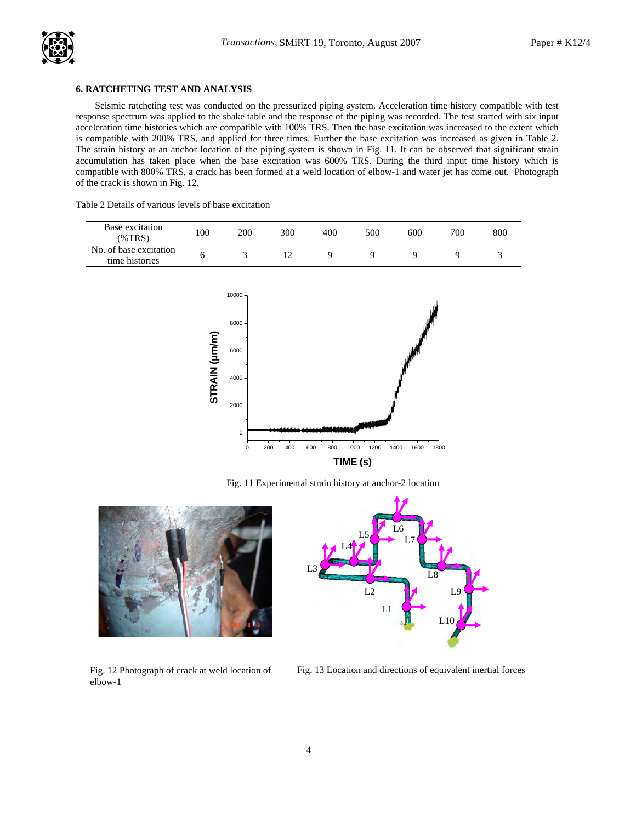

# **6. RATCHETING TEST AND ANALYSIS**

Seismic ratcheting test was conducted on the pressurized piping system. Acceleration time history compatible with test response spectrum was applied to the shake table and the response of the piping was recorded. The test started with six input acceleration time histories which are compatible with 100% TRS. Then the base excitation was increased to the extent which is compatible with 200% TRS, and applied for three times. Further the base excitation was increased as given in Table 2. The strain history at an anchor location of the piping system is shown in Fig. 11. It can be observed that significant strain accumulation has taken place when the base excitation was 600% TRS. During the third input time history which is compatible with 800% TRS, a crack has been formed at a weld location of elbow-1 and water jet has come out. Photograph of the crack is shown in Fig. 12.

| Table 2 Details of various levels of base excitation |  |  |  |  |  |  |  |  |
|------------------------------------------------------|--|--|--|--|--|--|--|--|
|------------------------------------------------------|--|--|--|--|--|--|--|--|

| Base excitation<br>$(\%TRS)$             | 100 | 200 | 300 | 400 | 500 | 600 | 700 | 800 |
|------------------------------------------|-----|-----|-----|-----|-----|-----|-----|-----|
| No. of base excitation<br>time histories |     |     | ∸   |     |     |     |     |     |



Fig. 11 Experimental strain history at anchor-2 location



Fig. 12 Photograph of crack at weld location of elbow-1



Fig. 13 Location and directions of equivalent inertial forces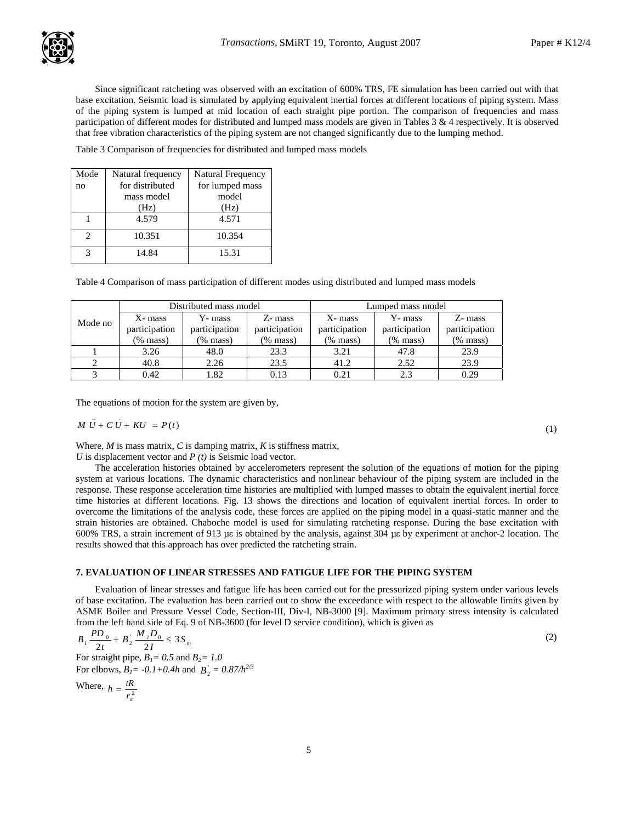

Since significant ratcheting was observed with an excitation of 600% TRS, FE simulation has been carried out with that base excitation. Seismic load is simulated by applying equivalent inertial forces at different locations of piping system. Mass of the piping system is lumped at mid location of each straight pipe portion. The comparison of frequencies and mass participation of different modes for distributed and lumped mass models are given in Tables 3 & 4 respectively. It is observed that free vibration characteristics of the piping system are not changed significantly due to the lumping method.

Table 3 Comparison of frequencies for distributed and lumped mass models

| Mode           | Natural frequency | <b>Natural Frequency</b> |
|----------------|-------------------|--------------------------|
| no             | for distributed   | for lumped mass          |
|                | mass model        | model                    |
|                | (Hz)              | (Hz)                     |
|                | 4.579             | 4.571                    |
| $\mathfrak{D}$ | 10.351            | 10.354                   |
| 2              | 14.84             | 15.31                    |

Table 4 Comparison of mass participation of different modes using distributed and lumped mass models

|         |               | Distributed mass model         |          | Lumped mass model |               |               |  |  |
|---------|---------------|--------------------------------|----------|-------------------|---------------|---------------|--|--|
| Mode no | X- mass       | Z- mass<br>Y- mass             |          | X- mass           | Y- mass       | Z- mass       |  |  |
|         | participation | participation<br>participation |          | participation     | participation | participation |  |  |
|         | (% mass)      | $(\%$ mass)                    | (% mass) | $(\%$ mass)       | $(\%$ mass)   | $(\%$ mass)   |  |  |
|         | 3.26          | 48.0                           | 23.3     | 3.21              | 47.8          | 23.9          |  |  |
|         | 40.8          | 2.26                           | 23.5     | 41.2              | 2.52          | 23.9          |  |  |
|         | 0.42          | 1.82                           | 0.13     | 0.21              | 2.3           | 0.29          |  |  |

The equations of motion for the system are given by,

$$
M\ddot{U} + C\dot{U} + KU = P(t) \tag{1}
$$

Where, *M* is mass matrix, *C* is damping matrix, *K* is stiffness matrix,

*U* is displacement vector and *P (t)* is Seismic load vector.

The acceleration histories obtained by accelerometers represent the solution of the equations of motion for the piping system at various locations. The dynamic characteristics and nonlinear behaviour of the piping system are included in the response. These response acceleration time histories are multiplied with lumped masses to obtain the equivalent inertial force time histories at different locations. Fig. 13 shows the directions and location of equivalent inertial forces. In order to overcome the limitations of the analysis code, these forces are applied on the piping model in a quasi-static manner and the strain histories are obtained. Chaboche model is used for simulating ratcheting response. During the base excitation with 600% TRS, a strain increment of 913 µε is obtained by the analysis, against 304 µε by experiment at anchor-2 location. The results showed that this approach has over predicted the ratcheting strain.

## **7. EVALUATION OF LINEAR STRESSES AND FATIGUE LIFE FOR THE PIPING SYSTEM**

Evaluation of linear stresses and fatigue life has been carried out for the pressurized piping system under various levels of base excitation. The evaluation has been carried out to show the exceedance with respect to the allowable limits given by ASME Boiler and Pressure Vessel Code, Section-III, Div-I, NB-3000 [9]. Maximum primary stress intensity is calculated from the left hand side of Eq. 9 of NB-3600 (for level D service condition), which is given as

$$
B_1 \frac{PD_0}{2t} + B_2 \frac{M_1 D_0}{2I} \le 3S_m \tag{2}
$$

For straight pipe,  $B_1 = 0.5$  and  $B_2 = 1.0$ For elbows,  $B_1 = -0.1 + 0.4h$  and  $B_2 = 0.87/h^{2/3}$ 

Where,  $h = \frac{tR}{r_m^2}$  $h = \frac{tR}{a}$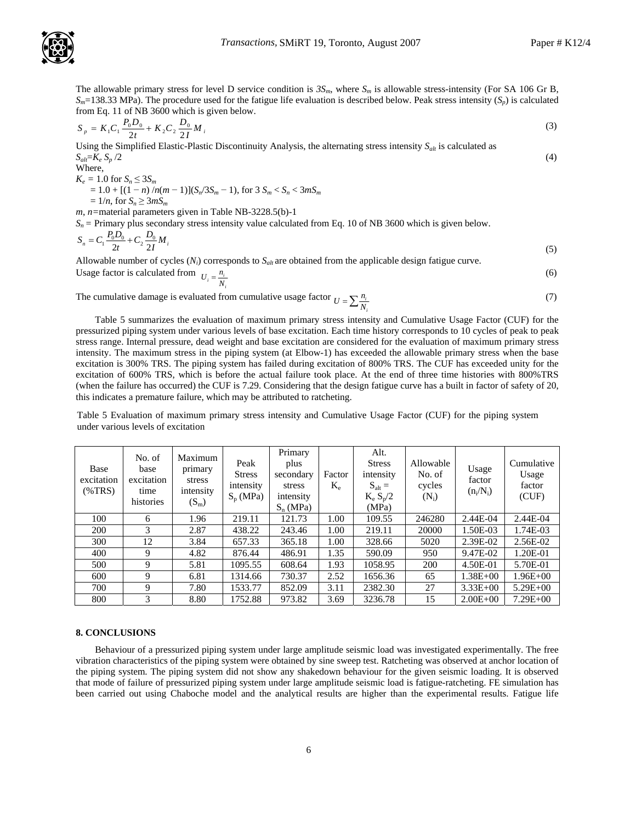

The allowable primary stress for level D service condition is  $3S_m$ , where  $S_m$  is allowable stress-intensity (For SA 106 Gr B,  $S_m$ =138.33 MPa). The procedure used for the fatigue life evaluation is described below. Peak stress intensity  $(S_p)$  is calculated from Eq. 11 of NB 3600 which is given below.

$$
S_p = K_1 C_1 \frac{P_0 D_0}{2t} + K_2 C_2 \frac{D_0}{2I} M_i
$$
\n
$$
M_{\text{kin}} = \frac{1}{2} \left( \frac{1}{2} \frac{P_0}{2I} \right) \tag{3}
$$

Using the Simplified Elastic-Plastic Discontinuity Analysis, the alternating stress intensity *Salt* is calculated as  $S_{alt} = K_e S_p / 2$  (4)  $W/L$ 

where,  
\n
$$
K_e = 1.0
$$
 for  $S_n \le 3S_m$   
\n $= 1.0 + [(1 - n)/n(m - 1)](S_n/3S_m - 1)$ , for  $3 S_m < S_n < 3mS_m$   
\n $= 1/n$ , for  $S_n \ge 3mS_m$ 

*m*, *n=*material parameters given in Table NB-3228.5(b)-1

 $S_n$  = Primary plus secondary stress intensity value calculated from Eq. 10 of NB 3600 which is given below.

$$
S_n = C_1 \frac{P_0 D_0}{2t} + C_2 \frac{D_0}{2I} M_i
$$
\n(5)

Allowable number of cycles  $(N_i)$  corresponds to  $S_{alt}$  are obtained from the applicable design fatigue curve. Usage factor is o

calculated from 
$$
U_i = \frac{n_i}{N_i}
$$
 (6)

The cumulative damage is evaluated from cumulative usage factor  $U = \sum \frac{n_i}{N_i}$  $U = \sum_{i} \frac{n_i}{N_i}$  (7)

Table 5 summarizes the evaluation of maximum primary stress intensity and Cumulative Usage Factor (CUF) for the pressurized piping system under various levels of base excitation. Each time history corresponds to 10 cycles of peak to peak stress range. Internal pressure, dead weight and base excitation are considered for the evaluation of maximum primary stress intensity. The maximum stress in the piping system (at Elbow-1) has exceeded the allowable primary stress when the base excitation is 300% TRS. The piping system has failed during excitation of 800% TRS. The CUF has exceeded unity for the excitation of 600% TRS, which is before the actual failure took place. At the end of three time histories with 800%TRS (when the failure has occurred) the CUF is 7.29. Considering that the design fatigue curve has a built in factor of safety of 20, this indicates a premature failure, which may be attributed to ratcheting.

Table 5 Evaluation of maximum primary stress intensity and Cumulative Usage Factor (CUF) for the piping system under various levels of excitation

| Base<br>excitation<br>$(\%TRS)$ | No. of<br>base<br>excitation<br>time<br>histories | Maximum<br>primary<br>stress<br>intensity<br>$(S_m)$ | Peak<br><b>Stress</b><br>intensity<br>$S_p(MPa)$ | Primary<br>plus<br>secondary<br>stress<br>intensity<br>$S_n(MPa)$ | Factor<br>$K_{\rm e}$ | Alt.<br><b>Stress</b><br>intensity<br>$S_{\text{alt}} =$<br>$K_e S_p/2$<br>(MPa) | Allowable<br>No. of<br>cycles<br>$(N_i)$ | Usage<br>factor<br>$(n_i/N_i)$ | Cumulative<br>Usage<br>factor<br>(CUF) |
|---------------------------------|---------------------------------------------------|------------------------------------------------------|--------------------------------------------------|-------------------------------------------------------------------|-----------------------|----------------------------------------------------------------------------------|------------------------------------------|--------------------------------|----------------------------------------|
| 100                             | 6                                                 | 1.96                                                 | 219.11                                           | 121.73                                                            | 1.00                  | 109.55                                                                           | 246280                                   | 2.44E-04                       | 2.44E-04                               |
| 200                             | 3                                                 | 2.87                                                 | 438.22                                           | 243.46                                                            | 1.00                  | 219.11                                                                           | 20000                                    | 1.50E-03                       | 1.74E-03                               |
| 300                             | 12                                                | 3.84                                                 | 657.33                                           | 365.18                                                            | 1.00                  | 328.66                                                                           | 5020                                     | 2.39E-02                       | 2.56E-02                               |
| 400                             | 9                                                 | 4.82                                                 | 876.44                                           | 486.91                                                            | 1.35                  | 590.09                                                                           | 950                                      | 9.47E-02                       | 1.20E-01                               |
| 500                             | 9                                                 | 5.81                                                 | 1095.55                                          | 608.64                                                            | 1.93                  | 1058.95                                                                          | 200                                      | 4.50E-01                       | 5.70E-01                               |
| 600                             | 9                                                 | 6.81                                                 | 1314.66                                          | 730.37                                                            | 2.52                  | 1656.36                                                                          | 65                                       | $1.38E + 00$                   | $1.96E + 00$                           |
| 700                             | 9                                                 | 7.80                                                 | 1533.77                                          | 852.09                                                            | 3.11                  | 2382.30                                                                          | 27                                       | $3.33E + 00$                   | $5.29E + 00$                           |
| 800                             | 3                                                 | 8.80                                                 | 1752.88                                          | 973.82                                                            | 3.69                  | 3236.78                                                                          | 15                                       | $2.00E + 00$                   | $7.29E + 00$                           |

#### **8. CONCLUSIONS**

Behaviour of a pressurized piping system under large amplitude seismic load was investigated experimentally. The free vibration characteristics of the piping system were obtained by sine sweep test. Ratcheting was observed at anchor location of the piping system. The piping system did not show any shakedown behaviour for the given seismic loading. It is observed that mode of failure of pressurized piping system under large amplitude seismic load is fatigue-ratcheting. FE simulation has been carried out using Chaboche model and the analytical results are higher than the experimental results. Fatigue life